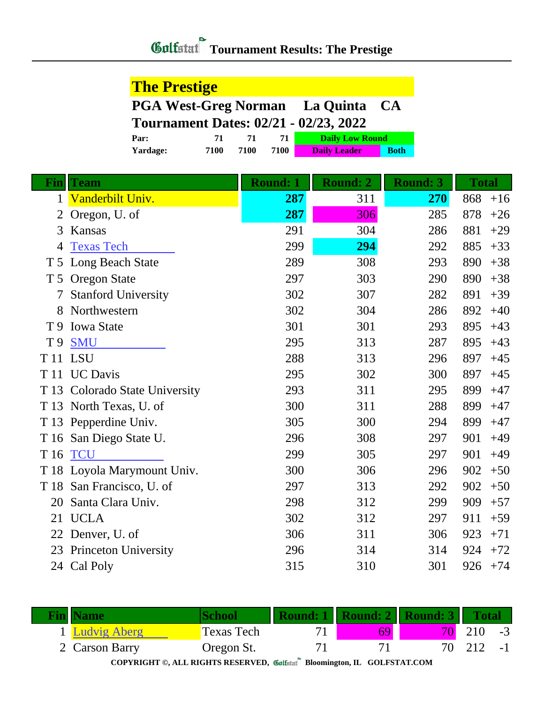|                | <b>The Prestige</b>                          |                 |                        |                 |              |
|----------------|----------------------------------------------|-----------------|------------------------|-----------------|--------------|
|                | <b>PGA West-Greg Norman</b>                  |                 | La Quinta<br><b>CA</b> |                 |              |
|                | <b>Tournament Dates: 02/21 - 02/23, 2022</b> |                 |                        |                 |              |
|                | Par:<br>71                                   | 71<br>71        | <b>Daily Low Round</b> |                 |              |
|                | Yardage:<br>7100                             | 7100<br>7100    | <b>Daily Leader</b>    | <b>Both</b>     |              |
| $\mathbf{Fin}$ | Team                                         | <b>Round: 1</b> | <b>Round: 2</b>        | <b>Round: 3</b> | <b>Total</b> |
| 1              | Vanderbilt Univ.                             | 287             | 311                    | 270             | 868<br>$+16$ |
| 2              | Oregon, U. of                                | 287             | 306                    | 285             | 878<br>$+26$ |
| 3              | Kansas                                       | 291             | 304                    | 286             | 881<br>$+29$ |
| 4              | <b>Texas Tech</b>                            | 299             | 294                    | 292             | 885<br>$+33$ |
|                | T 5 Long Beach State                         | 289             | 308                    | 293             | 890<br>$+38$ |
| T <sub>5</sub> | <b>Oregon State</b>                          | 297             | 303                    | 290             | 890<br>$+38$ |
|                | <b>Stanford University</b>                   | 302             | 307                    | 282             | 891<br>$+39$ |
| 8              | Northwestern                                 | 302             | 304                    | 286             | 892<br>$+40$ |
| T 9            | <b>Iowa State</b>                            | 301             | 301                    | 293             | 895<br>$+43$ |
| T 9            | <b>SMU</b>                                   | 295             | 313                    | 287             | 895<br>$+43$ |
|                | T <sub>11</sub> LSU                          | 288             | 313                    | 296             | 897<br>$+45$ |
|                | T 11 UC Davis                                | 295             | 302                    | 300             | 897<br>$+45$ |
|                | T 13 Colorado State University               | 293             | 311                    | 295             | 899<br>$+47$ |
|                | T 13 North Texas, U. of                      | 300             | 311                    | 288             | 899<br>$+47$ |
|                | T 13 Pepperdine Univ.                        | 305             | 300                    | 294             | 899<br>$+47$ |
|                | T 16 San Diego State U.                      | 296             | 308                    | 297             | 901<br>$+49$ |
|                | <b>T16 TCU</b>                               | 299             | 305                    | 297             | 901<br>$+49$ |
|                | T 18 Loyola Marymount Univ.                  | 300             | 306                    | 296             | 902<br>$+50$ |
|                | T 18 San Francisco, U. of                    | 297             | 313                    | 292             | 902<br>$+50$ |
| 20             | Santa Clara Univ.                            | 298             | 312                    | 299             | 909<br>$+57$ |
|                | 21 UCLA                                      | 302             | 312                    | 297             | 911<br>$+59$ |
|                | 22 Denver, U. of                             | 306             | 311                    | 306             | 923<br>$+71$ |
|                | 23 Princeton University                      | 296             | 314                    | 314             | 924<br>$+72$ |
|                | 24 Cal Poly                                  | 315             | 310                    | 301             | 926<br>$+74$ |

| <b>Fin Name</b>     |            | Round: 1 |    | <b>Round: 2   Round: 3   Total</b> |     |      |
|---------------------|------------|----------|----|------------------------------------|-----|------|
| <b>Ludvig Aberg</b> | Texas Tech |          | 69 |                                    | 210 | $-3$ |
| 2 Carson Barry      | Oregon St. |          |    |                                    | 212 | $-1$ |

**COPYRIGHT ©, ALL RIGHTS RESERVED, Bloomington, IL GOLFSTAT.COM**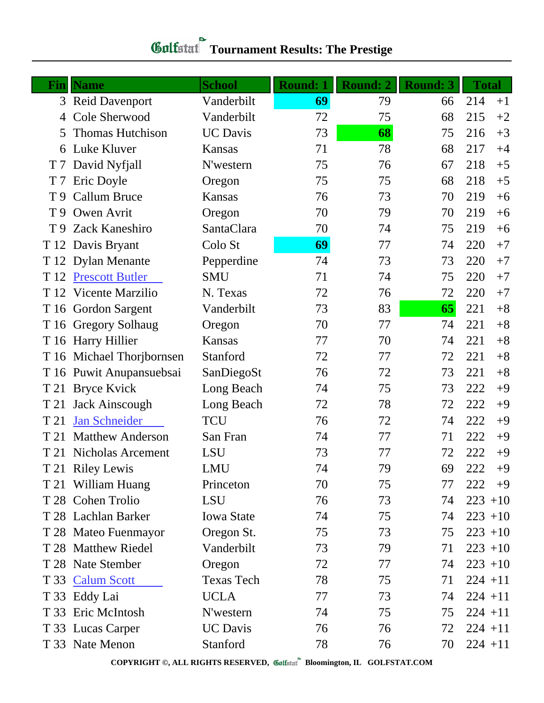| Fin            | <b>Name</b>               | <b>School</b>     | <b>Round: 1</b> | Round: 2 | <b>Round: 3</b> | <b>Total</b> |      |
|----------------|---------------------------|-------------------|-----------------|----------|-----------------|--------------|------|
|                | 3 Reid Davenport          | Vanderbilt        | 69              | 79       | 66              | 214          | $+1$ |
| 4              | Cole Sherwood             | Vanderbilt        | 72              | 75       | 68              | 215          | $+2$ |
| 5              | <b>Thomas Hutchison</b>   | <b>UC</b> Davis   | 73              | 68       | 75              | 216          | $+3$ |
| 6              | Luke Kluver               | Kansas            | 71              | 78       | 68              | 217          | $+4$ |
| T 7            | David Nyfjall             | N'western         | 75              | 76       | 67              | 218          | $+5$ |
| T <sub>7</sub> | Eric Doyle                | Oregon            | 75              | 75       | 68              | 218          | $+5$ |
| T 9            | <b>Callum Bruce</b>       | <b>Kansas</b>     | 76              | 73       | 70              | 219          | $+6$ |
| T 9            | Owen Avrit                | Oregon            | 70              | 79       | 70              | 219          | $+6$ |
| T 9            | <b>Zack Kaneshiro</b>     | SantaClara        | 70              | 74       | 75              | 219          | $+6$ |
|                | T 12 Davis Bryant         | Colo St           | 69              | 77       | 74              | 220          | $+7$ |
|                | T 12 Dylan Menante        | Pepperdine        | 74              | 73       | 73              | 220          | $+7$ |
|                | T 12 Prescott Butler      | <b>SMU</b>        | 71              | 74       | 75              | 220          | $+7$ |
|                | T 12 Vicente Marzilio     | N. Texas          | 72              | 76       | 72              | 220          | $+7$ |
|                | T 16 Gordon Sargent       | Vanderbilt        | 73              | 83       | 65              | 221          | $+8$ |
|                | T 16 Gregory Solhaug      | Oregon            | 70              | 77       | 74              | 221          | $+8$ |
|                | T 16 Harry Hillier        | Kansas            | 77              | 70       | 74              | 221          | $+8$ |
|                | T 16 Michael Thorjbornsen | Stanford          | 72              | 77       | 72              | 221          | $+8$ |
|                | T 16 Puwit Anupansuebsai  | SanDiegoSt        | 76              | 72       | 73              | 221          | $+8$ |
| T 21           | <b>Bryce Kvick</b>        | Long Beach        | 74              | 75       | 73              | 222          | $+9$ |
| T 21           | Jack Ainscough            | Long Beach        | 72              | 78       | 72              | 222          | $+9$ |
| T 21           | Jan Schneider             | <b>TCU</b>        | 76              | 72       | 74              | 222          | $+9$ |
| T 21           | <b>Matthew Anderson</b>   | San Fran          | 74              | 77       | 71              | 222          | $+9$ |
| T 21           | Nicholas Arcement         | <b>LSU</b>        | 73              | 77       | 72              | 222          | $+9$ |
|                | T 21 Riley Lewis          | <b>LMU</b>        | 74              | 79       | 69              | 222          | $+9$ |
|                | T 21 William Huang        | Princeton         | 70              | 75       | 77              | 222          | $+9$ |
|                | T 28 Cohen Trolio         | LSU               | 76              | 73       | 74              | $223 + 10$   |      |
|                | T 28 Lachlan Barker       | <b>Iowa State</b> | 74              | 75       | 74              | $223 + 10$   |      |
|                | T 28 Mateo Fuenmayor      | Oregon St.        | 75              | 73       | 75              | $223 + 10$   |      |
|                | T 28 Matthew Riedel       | Vanderbilt        | 73              | 79       | 71              | $223 + 10$   |      |
|                | T 28 Nate Stember         | Oregon            | 72              | 77       | 74              | $223 + 10$   |      |
|                | T 33 Calum Scott          | <b>Texas Tech</b> | 78              | 75       | 71              | $224 + 11$   |      |
|                | T 33 Eddy Lai             | <b>UCLA</b>       | 77              | 73       | 74              | $224 + 11$   |      |
|                | T 33 Eric McIntosh        | N'western         | 74              | 75       | 75              | $224 + 11$   |      |
|                | T 33 Lucas Carper         | <b>UC</b> Davis   | 76              | 76       | 72              | $224 + 11$   |      |
|                | T 33 Nate Menon           | Stanford          | 78              | 76       | 70              | $224 + 11$   |      |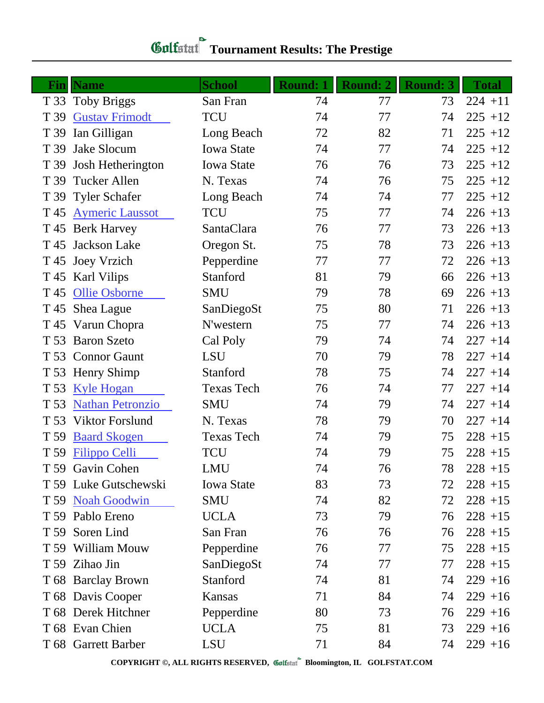| Fin  | <b>Name</b>             | <b>School</b>     | <b>Round: 1</b> | <b>Round: 2</b> | <b>Round: 3</b> | <b>Total</b> |
|------|-------------------------|-------------------|-----------------|-----------------|-----------------|--------------|
|      | T 33 Toby Briggs        | San Fran          | 74              | 77              | 73              | $224 + 11$   |
| T 39 | <b>Gustav Frimodt</b>   | <b>TCU</b>        | 74              | 77              | 74              | $225 + 12$   |
| T 39 | Ian Gilligan            | Long Beach        | 72              | 82              | 71              | $225 + 12$   |
| T 39 | Jake Slocum             | <b>Iowa State</b> | 74              | 77              | 74              | $225 + 12$   |
| T 39 | Josh Hetherington       | <b>Iowa State</b> | 76              | 76              | 73              | $225 + 12$   |
| T 39 | <b>Tucker Allen</b>     | N. Texas          | 74              | 76              | 75              | $225 + 12$   |
|      | T 39 Tyler Schafer      | Long Beach        | 74              | 74              | 77              | $225 + 12$   |
| T 45 | <b>Aymeric Laussot</b>  | <b>TCU</b>        | 75              | 77              | 74              | $226 + 13$   |
|      | T 45 Berk Harvey        | SantaClara        | 76              | 77              | 73              | $226 + 13$   |
| T 45 | Jackson Lake            | Oregon St.        | 75              | 78              | 73              | $226 + 13$   |
|      | T 45 Joey Vrzich        | Pepperdine        | 77              | 77              | 72              | $226 + 13$   |
|      | T 45 Karl Vilips        | Stanford          | 81              | 79              | 66              | $226 + 13$   |
|      | T 45 Ollie Osborne      | <b>SMU</b>        | 79              | 78              | 69              | $226 + 13$   |
|      | T 45 Shea Lague         | SanDiegoSt        | 75              | 80              | 71              | $226 + 13$   |
|      | T 45 Varun Chopra       | N'western         | 75              | 77              | 74              | $226 + 13$   |
|      | T 53 Baron Szeto        | Cal Poly          | 79              | 74              | 74              | $227 + 14$   |
|      | T 53 Connor Gaunt       | <b>LSU</b>        | 70              | 79              | 78              | $227 + 14$   |
|      | T 53 Henry Shimp        | Stanford          | 78              | 75              | 74              | $227 + 14$   |
| T 53 | <b>Kyle Hogan</b>       | <b>Texas Tech</b> | 76              | 74              | 77              | $227 + 14$   |
| T 53 | <b>Nathan Petronzio</b> | <b>SMU</b>        | 74              | 79              | 74              | $227 + 14$   |
| T 53 | <b>Viktor Forslund</b>  | N. Texas          | 78              | 79              | 70              | $227 + 14$   |
| T 59 | <b>Baard Skogen</b>     | <b>Texas Tech</b> | 74              | 79              | 75              | $228 + 15$   |
|      | T 59 Filippo Celli      | <b>TCU</b>        | 74              | 79              | 75              | $228 + 15$   |
|      | T 59 Gavin Cohen        | LMU               | 74              | 76              | 78              | $228 + 15$   |
|      | T 59 Luke Gutschewski   | <b>Iowa State</b> | 83              | 73              | 72              | $228 + 15$   |
|      | T 59 Noah Goodwin       | <b>SMU</b>        | 74              | 82              | 72              | $228 + 15$   |
|      | T 59 Pablo Ereno        | <b>UCLA</b>       | 73              | 79              | 76              | $228 + 15$   |
|      | T 59 Soren Lind         | San Fran          | 76              | 76              | 76              | $228 + 15$   |
|      | T 59 William Mouw       | Pepperdine        | 76              | 77              | 75              | $228 + 15$   |
|      | T 59 Zihao Jin          | SanDiegoSt        | 74              | 77              | 77              | $228 + 15$   |
|      | T 68 Barclay Brown      | Stanford          | 74              | 81              | 74              | $229 + 16$   |
|      | T 68 Davis Cooper       | Kansas            | 71              | 84              | 74              | $229 + 16$   |
|      | T 68 Derek Hitchner     | Pepperdine        | 80              | 73              | 76              | $229 + 16$   |
|      | T 68 Evan Chien         | <b>UCLA</b>       | 75              | 81              | 73              | $229 + 16$   |
|      | T 68 Garrett Barber     | LSU               | 71              | 84              | 74              | $229 + 16$   |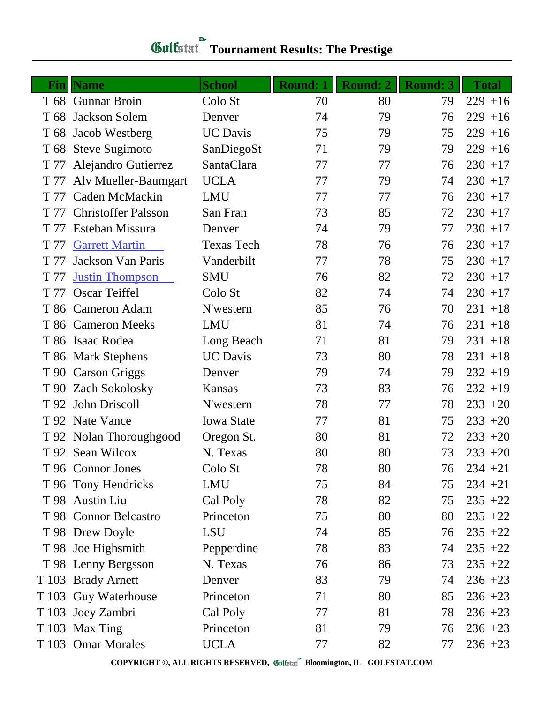| Finl | <b>Name</b>               | <b>School</b>     | <b>Round: 1</b> | Round: 2 | <b>Round: 3</b> | <b>Total</b> |
|------|---------------------------|-------------------|-----------------|----------|-----------------|--------------|
|      | T 68 Gunnar Broin         | Colo St           | 70              | 80       | 79              | $229 + 16$   |
| T 68 | Jackson Solem             | Denver            | 74              | 79       | 76              | $229 + 16$   |
| T 68 | Jacob Westberg            | <b>UC</b> Davis   | 75              | 79       | 75              | $229 + 16$   |
|      | T 68 Steve Sugimoto       | SanDiegoSt        | 71              | 79       | 79              | $229 + 16$   |
| T 77 | Alejandro Gutierrez       | SantaClara        | 77              | 77       | 76              | $230 + 17$   |
|      | T 77 Alv Mueller-Baumgart | <b>UCLA</b>       | 77              | 79       | 74              | $230 + 17$   |
|      | T 77 Caden McMackin       | <b>LMU</b>        | 77              | 77       | 76              | $230 + 17$   |
|      | T 77 Christoffer Palsson  | San Fran          | 73              | 85       | 72              | $230 + 17$   |
|      | T 77 Esteban Missura      | Denver            | 74              | 79       | 77              | $230 + 17$   |
| T 77 | <b>Garrett Martin</b>     | <b>Texas Tech</b> | 78              | 76       | 76              | $230 + 17$   |
| T 77 | Jackson Van Paris         | Vanderbilt        | 77              | 78       | 75              | $230 + 17$   |
| T 77 | <b>Justin Thompson</b>    | <b>SMU</b>        | 76              | 82       | 72              | $230 + 17$   |
|      | T 77 Oscar Teiffel        | Colo St           | 82              | 74       | 74              | $230 + 17$   |
|      | T 86 Cameron Adam         | N'western         | 85              | 76       | 70              | $231 + 18$   |
|      | T 86 Cameron Meeks        | <b>LMU</b>        | 81              | 74       | 76              | $231 + 18$   |
|      | T 86 Isaac Rodea          | Long Beach        | 71              | 81       | 79              | $231 + 18$   |
|      | T 86 Mark Stephens        | <b>UC</b> Davis   | 73              | 80       | 78              | $231 + 18$   |
|      | T 90 Carson Griggs        | Denver            | 79              | 74       | 79              | $232 + 19$   |
|      | T 90 Zach Sokolosky       | Kansas            | 73              | 83       | 76              | $232 + 19$   |
|      | T 92 John Driscoll        | N'western         | 78              | 77       | 78              | $233 + 20$   |
|      | T 92 Nate Vance           | <b>Iowa State</b> | 77              | 81       | 75              | $233 + 20$   |
|      | T 92 Nolan Thoroughgood   | Oregon St.        | 80              | 81       | 72              | $233 + 20$   |
|      | T 92 Sean Wilcox          | N. Texas          | 80              | 80       | 73              | $233 + 20$   |
|      | T 96 Connor Jones         | Colo St           | 78              | 80       | 76              | $234 + 21$   |
|      | T 96 Tony Hendricks       | LMU               | 75              | 84       | 75              | $234 + 21$   |
|      | T 98 Austin Liu           | Cal Poly          | 78              | 82       | 75              | $235 + 22$   |
|      | T 98 Connor Belcastro     | Princeton         | 75              | 80       | 80              | $235 + 22$   |
|      | T 98 Drew Doyle           | LSU               | 74              | 85       | 76              | $235 +22$    |
|      | T 98 Joe Highsmith        | Pepperdine        | 78              | 83       | 74              | $235 + 22$   |
|      | T 98 Lenny Bergsson       | N. Texas          | 76              | 86       | 73              | $235 + 22$   |
|      | T 103 Brady Arnett        | Denver            | 83              | 79       | 74              | $236 + 23$   |
|      | T 103 Guy Waterhouse      | Princeton         | 71              | 80       | 85              | $236 + 23$   |
|      | T 103 Joey Zambri         | Cal Poly          | 77              | 81       | 78              | $236 + 23$   |
|      | T 103 Max Ting            | Princeton         | 81              | 79       | 76              | $236 + 23$   |
|      | T 103 Omar Morales        | <b>UCLA</b>       | 77              | 82       | 77              | $236 + 23$   |